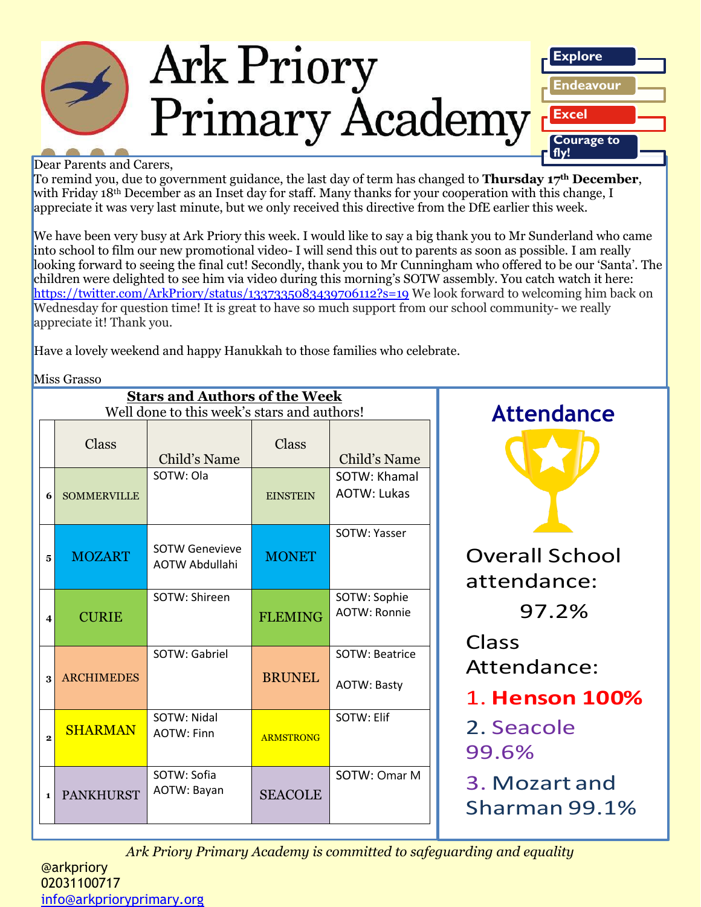

#### Dear Parents and Carers,

To remind you, due to government guidance, the last day of term has changed to **Thursday 17th December**, with Friday 18<sup>th</sup> December as an Inset day for staff. Many thanks for your cooperation with this change, I appreciate it was very last minute, but we only received this directive from the DfE earlier this week.

We have been very busy at Ark Priory this week. I would like to say a big thank you to Mr Sunderland who came into school to film our new promotional video- I will send this out to parents as soon as possible. I am really looking forward to seeing the final cut! Secondly, thank you to Mr Cunningham who offered to be our 'Santa'. The children were delighted to see him via video during this morning's SOTW assembly. You catch watch it here: <https://twitter.com/ArkPriory/status/1337335083439706112?s=19> We look forward to welcoming him back on Wednesday for question time! It is great to have so much support from our school community- we really appreciate it! Thank you.

Have a lovely weekend and happy Hanukkah to those families who celebrate.

Miss Crosso

|                         | wiidd Uladdu       |                                                                                     |                   |                                             |                                                               |  |  |
|-------------------------|--------------------|-------------------------------------------------------------------------------------|-------------------|---------------------------------------------|---------------------------------------------------------------|--|--|
|                         |                    | <b>Stars and Authors of the Week</b><br>Well done to this week's stars and authors! | <b>Attendance</b> |                                             |                                                               |  |  |
|                         | <b>Class</b>       | Child's Name                                                                        | <b>Class</b>      | Child's Name                                |                                                               |  |  |
| 6                       | <b>SOMMERVILLE</b> | SOTW: Ola                                                                           | <b>EINSTEIN</b>   | SOTW: Khamal<br><b>AOTW: Lukas</b>          |                                                               |  |  |
| 5                       | <b>MOZART</b>      | <b>SOTW Genevieve</b><br>AOTW Abdullahi                                             | <b>MONET</b>      | SOTW: Yasser                                | <b>Overall School</b><br>attendance:                          |  |  |
| $\overline{\mathbf{4}}$ | <b>CURIE</b>       | SOTW: Shireen                                                                       | <b>FLEMING</b>    | SOTW: Sophie<br><b>AOTW: Ronnie</b>         | 97.2%                                                         |  |  |
| 3                       | <b>ARCHIMEDES</b>  | SOTW: Gabriel                                                                       | <b>BRUNEL</b>     | <b>SOTW: Beatrice</b><br><b>AOTW: Basty</b> | Class<br>Attendance:<br>1. Henson 100%<br>2. Seacole<br>99.6% |  |  |
| $\overline{2}$          | <b>SHARMAN</b>     | SOTW: Nidal<br><b>AOTW: Finn</b>                                                    | <b>ARMSTRONG</b>  | SOTW: Elif                                  |                                                               |  |  |
| $\mathbf{1}$            | PANKHURST          | SOTW: Sofia<br>AOTW: Bayan                                                          | <b>SEACOLE</b>    | SOTW: Omar M                                | 3. Mozart and<br>Sharman 99.1%                                |  |  |

*Ark Priory Primary Academy is committed to safeguarding and equality*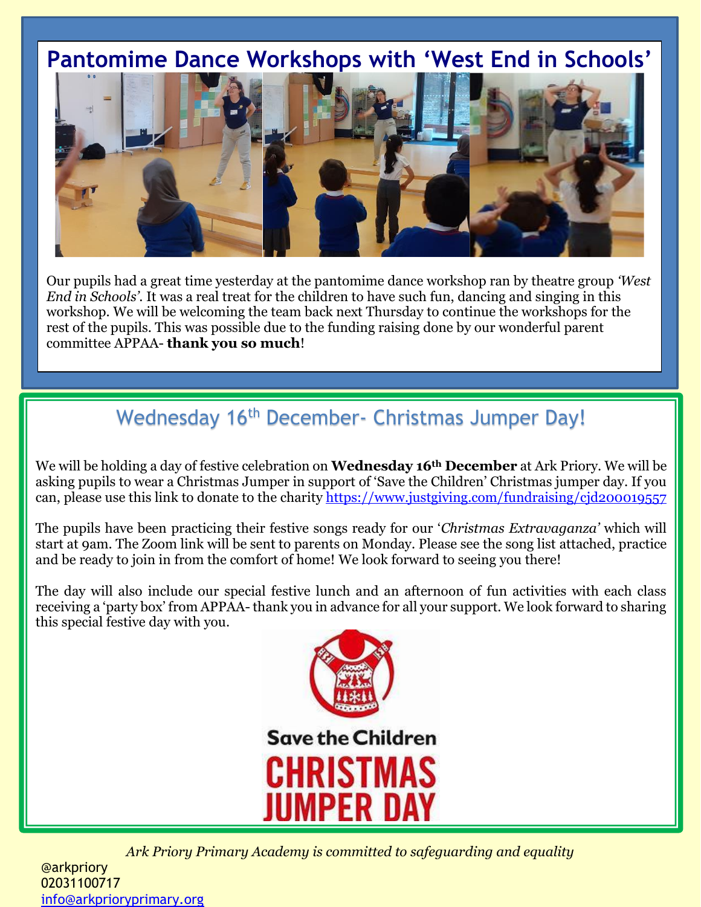# **Pantomime Dance Workshops with 'West End in Schools'**



Our pupils had a great time yesterday at the pantomime dance workshop ran by theatre group *'West End in Schools'*. It was a real treat for the children to have such fun, dancing and singing in this workshop. We will be welcoming the team back next Thursday to continue the workshops for the rest of the pupils. This was possible due to the funding raising done by our wonderful parent committee APPAA- **thank you so much**!

# Wednesday 16<sup>th</sup> December- Christmas Jumper Day!

We will be holding a day of festive celebration on **Wednesday 16th December** at Ark Priory. We will be asking pupils to wear a Christmas Jumper in support of 'Save the Children' Christmas jumper day. If you can, please use this link to donate to the charity<https://www.justgiving.com/fundraising/cjd200019557>

The pupils have been practicing their festive songs ready for our '*Christmas Extravaganza'* which will start at 9am. The Zoom link will be sent to parents on Monday. Please see the song list attached, practice and be ready to join in from the comfort of home! We look forward to seeing you there!

The day will also include our special festive lunch and an afternoon of fun activities with each class receiving a 'party box' from APPAA-thank you in advance for all your support. We look forward to sharing this special festive day with you.



*Ark Priory Primary Academy is committed to safeguarding and equality* 

@arkpriory 02031100717 [info@arkprioryprimary.org](mailto:info@arkprioryprimary.org)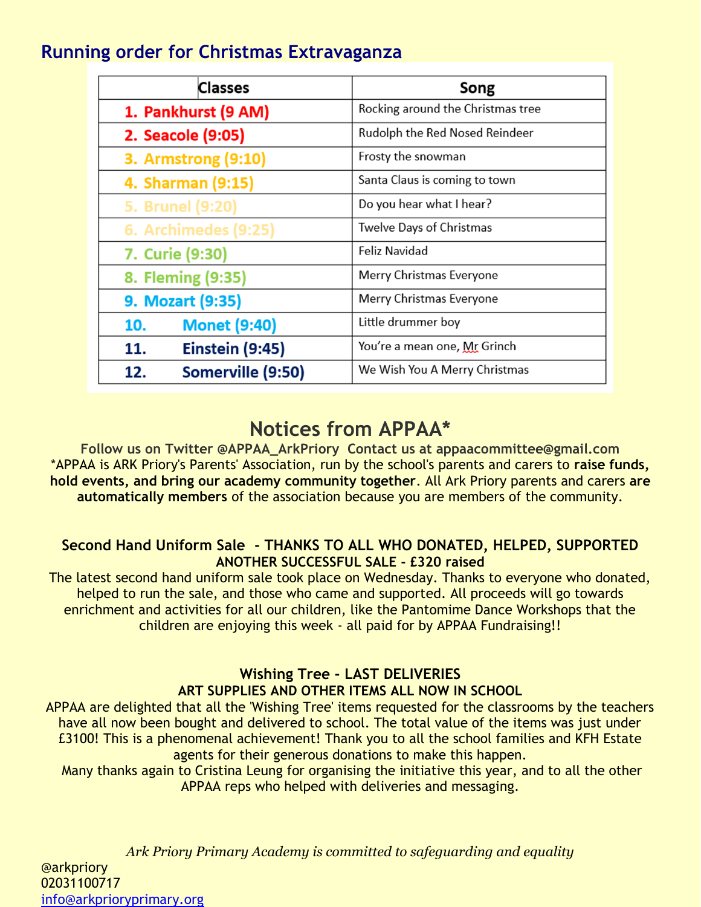## **Running order for Christmas Extravaganza**

| <b>Classes</b>             | Song                              |  |
|----------------------------|-----------------------------------|--|
| 1. Pankhurst (9 AM)        | Rocking around the Christmas tree |  |
| 2. Seacole (9:05)          | Rudolph the Red Nosed Reindeer    |  |
| 3. Armstrong (9:10)        | Frosty the snowman                |  |
| 4. Sharman (9:15)          | Santa Claus is coming to town     |  |
| 5. Brunel (9:20)           | Do you hear what I hear?          |  |
| 6. Archimedes (9:25)       | <b>Twelve Days of Christmas</b>   |  |
| 7. Curie (9:30)            | <b>Feliz Navidad</b>              |  |
| 8. Fleming (9:35)          | Merry Christmas Everyone          |  |
| 9. Mozart (9:35)           | Merry Christmas Everyone          |  |
| <b>Monet (9:40)</b><br>10. | Little drummer boy                |  |
| Einstein (9:45)<br>11.     | You're a mean one, Mr Grinch      |  |
| Somerville (9:50)<br>12.   | We Wish You A Merry Christmas     |  |

## **Notices from APPAA\***

**Follow us on Twitter @APPAA\_ArkPriory Contact us at appaacommittee@gmail.com** \*APPAA is ARK Priory's Parents' Association, run by the school's parents and carers to **raise funds, hold events, and bring our academy community together**. All Ark Priory parents and carers **are automatically members** of the association because you are members of the community.

### **Second Hand Uniform Sale - THANKS TO ALL WHO DONATED, HELPED, SUPPORTED ANOTHER SUCCESSFUL SALE - £320 raised**

The latest second hand uniform sale took place on Wednesday. Thanks to everyone who donated, helped to run the sale, and those who came and supported. All proceeds will go towards enrichment and activities for all our children, like the Pantomime Dance Workshops that the children are enjoying this week - all paid for by APPAA Fundraising!!

### **Wishing Tree - LAST DELIVERIES ART SUPPLIES AND OTHER ITEMS ALL NOW IN SCHOOL**

APPAA are delighted that all the 'Wishing Tree' items requested for the classrooms by the teachers have all now been bought and delivered to school. The total value of the items was just under £3100! This is a phenomenal achievement! Thank you to all the school families and KFH Estate agents for their generous donations to make this happen.

Many thanks again to Cristina Leung for organising the initiative this year, and to all the other APPAA reps who helped with deliveries and messaging.

*Ark Priory Primary Academy is committed to safeguarding and equality*  @arkpriory 02031100717 [info@arkprioryprimary.org](mailto:info@arkprioryprimary.org)